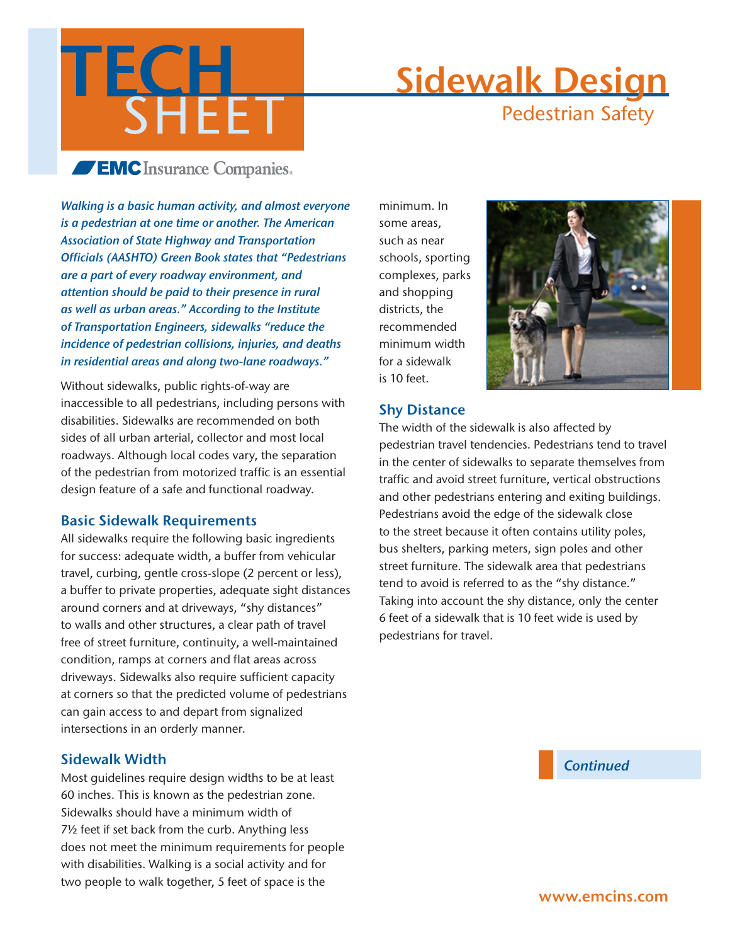

# Sidewalk Design Pedestrian Safety

## **EMC** Insurance Companies.

*Walking is a basic human activity, and almost everyone is a pedestrian at one time or another. The American Association of State Highway and Transportation Officials (AASHTO) Green Book states that "Pedestrians are a part of every roadway environment, and attention should be paid to their presence in rural as well as urban areas." According to the Institute of Transportation Engineers, sidewalks "reduce the incidence of pedestrian collisions, injuries, and deaths in residential areas and along two-lane roadways."* 

Without sidewalks, public rights-of-way are inaccessible to all pedestrians, including persons with disabilities. Sidewalks are recommended on both sides of all urban arterial, collector and most local roadways. Although local codes vary, the separation of the pedestrian from motorized traffic is an essential design feature of a safe and functional roadway.

#### Basic Sidewalk Requirements

All sidewalks require the following basic ingredients for success: adequate width, a buffer from vehicular travel, curbing, gentle cross-slope (2 percent or less), a buffer to private properties, adequate sight distances around corners and at driveways, "shy distances" to walls and other structures, a clear path of travel free of street furniture, continuity, a well-maintained condition, ramps at corners and flat areas across driveways. Sidewalks also require sufficient capacity at corners so that the predicted volume of pedestrians can gain access to and depart from signalized intersections in an orderly manner.

#### Sidewalk Width

Most guidelines require design widths to be at least 60 inches. This is known as the pedestrian zone. Sidewalks should have a minimum width of 7½ feet if set back from the curb. Anything less does not meet the minimum requirements for people with disabilities. Walking is a social activity and for two people to walk together, 5 feet of space is the

minimum. In some areas, such as near schools, sporting complexes, parks and shopping districts, the recommended minimum width for a sidewalk is 10 feet.



#### Shy Distance

The width of the sidewalk is also affected by pedestrian travel tendencies. Pedestrians tend to travel in the center of sidewalks to separate themselves from traffic and avoid street furniture, vertical obstructions and other pedestrians entering and exiting buildings. Pedestrians avoid the edge of the sidewalk close to the street because it often contains utility poles, bus shelters, parking meters, sign poles and other street furniture. The sidewalk area that pedestrians tend to avoid is referred to as the "shy distance." Taking into account the shy distance, only the center 6 feet of a sidewalk that is 10 feet wide is used by pedestrians for travel.

*Continued*

www.emcins.com